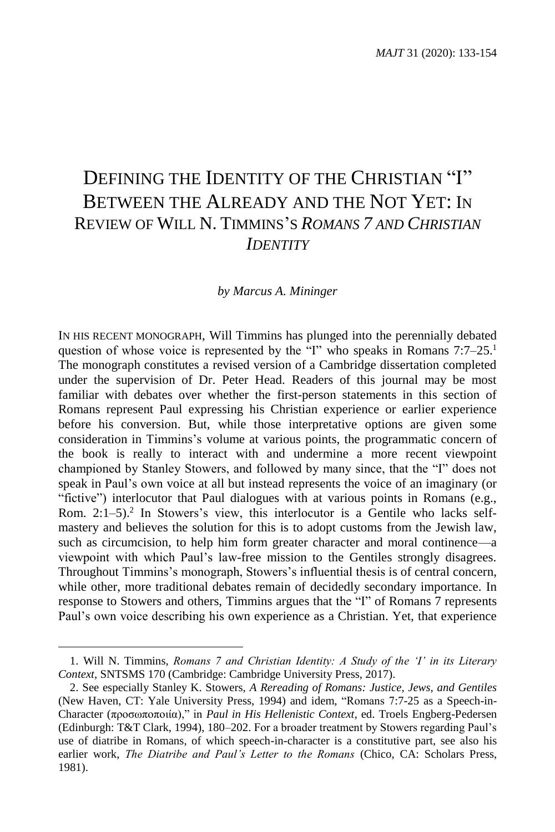## DEFINING THE IDENTITY OF THE CHRISTIAN "I" BETWEEN THE ALREADY AND THE NOT YET: I<sup>N</sup> REVIEW OF WILL N. TIMMINS'S *ROMANS 7 AND CHRISTIAN IDENTITY*

## *by Marcus A. Mininger*

IN HIS RECENT MONOGRAPH, Will Timmins has plunged into the perennially debated question of whose voice is represented by the "I" who speaks in Romans 7:7–25.<sup>1</sup> The monograph constitutes a revised version of a Cambridge dissertation completed under the supervision of Dr. Peter Head. Readers of this journal may be most familiar with debates over whether the first-person statements in this section of Romans represent Paul expressing his Christian experience or earlier experience before his conversion. But, while those interpretative options are given some consideration in Timmins's volume at various points, the programmatic concern of the book is really to interact with and undermine a more recent viewpoint championed by Stanley Stowers, and followed by many since, that the "I" does not speak in Paul's own voice at all but instead represents the voice of an imaginary (or "fictive") interlocutor that Paul dialogues with at various points in Romans (e.g., Rom. 2:1–5).<sup>2</sup> In Stowers's view, this interlocutor is a Gentile who lacks selfmastery and believes the solution for this is to adopt customs from the Jewish law, such as circumcision, to help him form greater character and moral continence—a viewpoint with which Paul's law-free mission to the Gentiles strongly disagrees. Throughout Timmins's monograph, Stowers's influential thesis is of central concern, while other, more traditional debates remain of decidedly secondary importance. In response to Stowers and others, Timmins argues that the "I" of Romans 7 represents Paul's own voice describing his own experience as a Christian. Yet, that experience

<sup>1.</sup> Will N. Timmins, *Romans 7 and Christian Identity: A Study of the 'I' in its Literary Context*, SNTSMS 170 (Cambridge: Cambridge University Press, 2017).

<sup>2.</sup> See especially Stanley K. Stowers, *A Rereading of Romans: Justice, Jews, and Gentiles* (New Haven, CT: Yale University Press, 1994) and idem, "Romans 7:7-25 as a Speech-in-Character (προσωποποιία)," in *Paul in His Hellenistic Context*, ed. Troels Engberg-Pedersen (Edinburgh: T&T Clark, 1994), 180–202. For a broader treatment by Stowers regarding Paul's use of diatribe in Romans, of which speech-in-character is a constitutive part, see also his earlier work, *The Diatribe and Paul's Letter to the Romans* (Chico, CA: Scholars Press, 1981).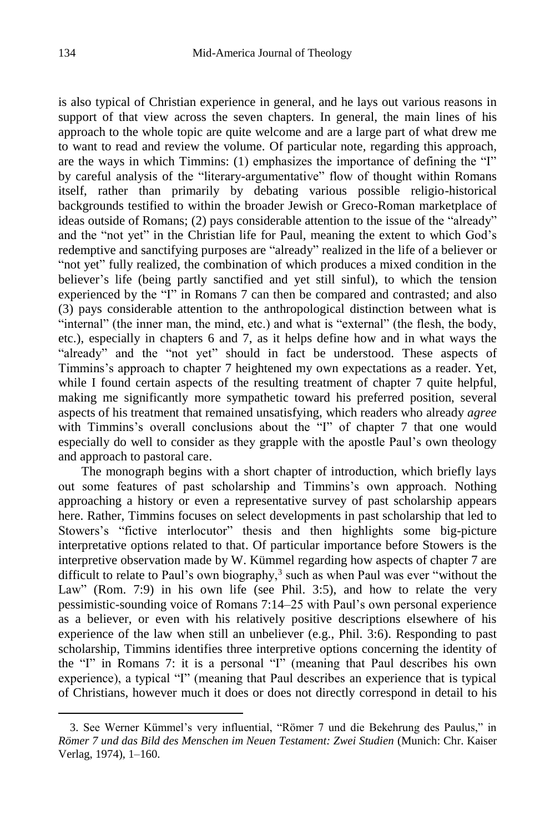is also typical of Christian experience in general, and he lays out various reasons in support of that view across the seven chapters. In general, the main lines of his approach to the whole topic are quite welcome and are a large part of what drew me to want to read and review the volume. Of particular note, regarding this approach, are the ways in which Timmins: (1) emphasizes the importance of defining the "I" by careful analysis of the "literary-argumentative" flow of thought within Romans itself, rather than primarily by debating various possible religio-historical backgrounds testified to within the broader Jewish or Greco-Roman marketplace of ideas outside of Romans; (2) pays considerable attention to the issue of the "already" and the "not yet" in the Christian life for Paul, meaning the extent to which God's redemptive and sanctifying purposes are "already" realized in the life of a believer or "not yet" fully realized, the combination of which produces a mixed condition in the believer's life (being partly sanctified and yet still sinful), to which the tension experienced by the "I" in Romans 7 can then be compared and contrasted; and also (3) pays considerable attention to the anthropological distinction between what is "internal" (the inner man, the mind, etc.) and what is "external" (the flesh, the body, etc.), especially in chapters 6 and 7, as it helps define how and in what ways the "already" and the "not yet" should in fact be understood. These aspects of Timmins's approach to chapter 7 heightened my own expectations as a reader. Yet, while I found certain aspects of the resulting treatment of chapter 7 quite helpful, making me significantly more sympathetic toward his preferred position, several aspects of his treatment that remained unsatisfying, which readers who already *agree* with Timmins's overall conclusions about the "I" of chapter 7 that one would especially do well to consider as they grapple with the apostle Paul's own theology and approach to pastoral care.

The monograph begins with a short chapter of introduction, which briefly lays out some features of past scholarship and Timmins's own approach. Nothing approaching a history or even a representative survey of past scholarship appears here. Rather, Timmins focuses on select developments in past scholarship that led to Stowers's "fictive interlocutor" thesis and then highlights some big-picture interpretative options related to that. Of particular importance before Stowers is the interpretive observation made by W. Kümmel regarding how aspects of chapter 7 are difficult to relate to Paul's own biography, $3$  such as when Paul was ever "without the Law" (Rom. 7:9) in his own life (see Phil. 3:5), and how to relate the very pessimistic-sounding voice of Romans 7:14–25 with Paul's own personal experience as a believer, or even with his relatively positive descriptions elsewhere of his experience of the law when still an unbeliever (e.g., Phil. 3:6). Responding to past scholarship, Timmins identifies three interpretive options concerning the identity of the "I" in Romans 7: it is a personal "I" (meaning that Paul describes his own experience), a typical "I" (meaning that Paul describes an experience that is typical of Christians, however much it does or does not directly correspond in detail to his

<sup>3.</sup> See Werner Kümmel's very influential, "Römer 7 und die Bekehrung des Paulus," in *Römer 7 und das Bild des Menschen im Neuen Testament: Zwei Studien* (Munich: Chr. Kaiser Verlag, 1974), 1–160.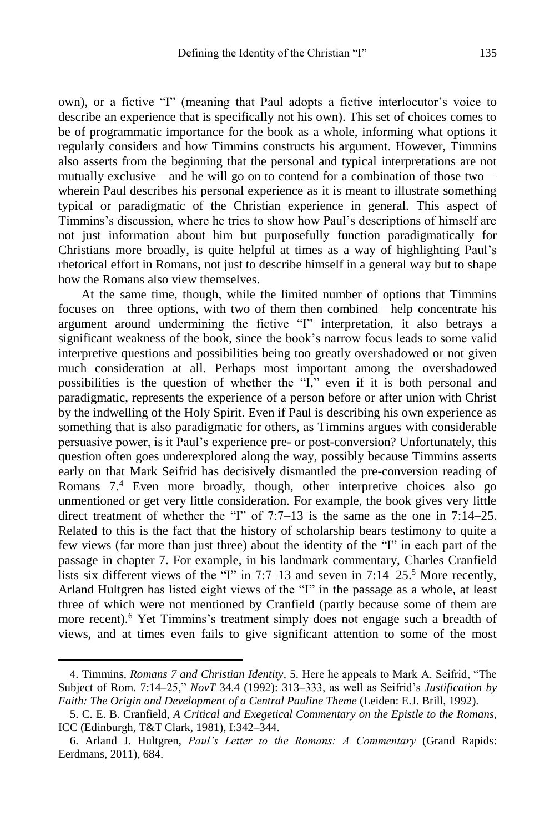own), or a fictive "I" (meaning that Paul adopts a fictive interlocutor's voice to describe an experience that is specifically not his own). This set of choices comes to be of programmatic importance for the book as a whole, informing what options it regularly considers and how Timmins constructs his argument. However, Timmins also asserts from the beginning that the personal and typical interpretations are not mutually exclusive—and he will go on to contend for a combination of those two wherein Paul describes his personal experience as it is meant to illustrate something typical or paradigmatic of the Christian experience in general. This aspect of Timmins's discussion, where he tries to show how Paul's descriptions of himself are not just information about him but purposefully function paradigmatically for Christians more broadly, is quite helpful at times as a way of highlighting Paul's rhetorical effort in Romans, not just to describe himself in a general way but to shape how the Romans also view themselves.

At the same time, though, while the limited number of options that Timmins focuses on—three options, with two of them then combined—help concentrate his argument around undermining the fictive "I" interpretation, it also betrays a significant weakness of the book, since the book's narrow focus leads to some valid interpretive questions and possibilities being too greatly overshadowed or not given much consideration at all. Perhaps most important among the overshadowed possibilities is the question of whether the "I," even if it is both personal and paradigmatic, represents the experience of a person before or after union with Christ by the indwelling of the Holy Spirit. Even if Paul is describing his own experience as something that is also paradigmatic for others, as Timmins argues with considerable persuasive power, is it Paul's experience pre- or post-conversion? Unfortunately, this question often goes underexplored along the way, possibly because Timmins asserts early on that Mark Seifrid has decisively dismantled the pre-conversion reading of Romans 7.<sup>4</sup> Even more broadly, though, other interpretive choices also go unmentioned or get very little consideration. For example, the book gives very little direct treatment of whether the "I" of 7:7–13 is the same as the one in 7:14–25. Related to this is the fact that the history of scholarship bears testimony to quite a few views (far more than just three) about the identity of the "I" in each part of the passage in chapter 7. For example, in his landmark commentary, Charles Cranfield lists six different views of the "I" in 7:7–13 and seven in 7:14–25.<sup>5</sup> More recently, Arland Hultgren has listed eight views of the "I" in the passage as a whole, at least three of which were not mentioned by Cranfield (partly because some of them are more recent).<sup>6</sup> Yet Timmins's treatment simply does not engage such a breadth of views, and at times even fails to give significant attention to some of the most

<sup>4.</sup> Timmins, *Romans 7 and Christian Identity*, 5. Here he appeals to Mark A. Seifrid, "The Subject of Rom. 7:14–25," *NovT* 34.4 (1992): 313–333, as well as Seifrid's *Justification by Faith: The Origin and Development of a Central Pauline Theme* (Leiden: E.J. Brill, 1992).

<sup>5.</sup> C. E. B. Cranfield, *A Critical and Exegetical Commentary on the Epistle to the Romans*, ICC (Edinburgh, T&T Clark, 1981), I:342–344.

<sup>6.</sup> Arland J. Hultgren, *Paul's Letter to the Romans: A Commentary* (Grand Rapids: Eerdmans, 2011), 684.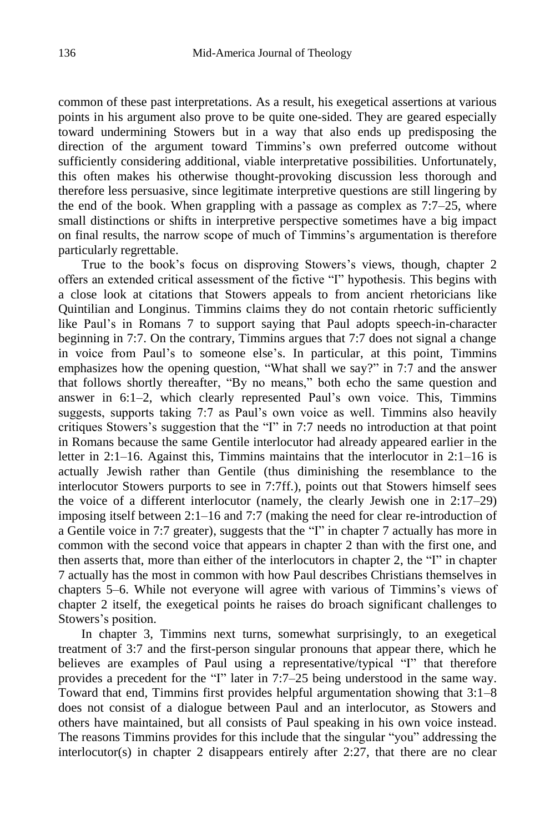common of these past interpretations. As a result, his exegetical assertions at various points in his argument also prove to be quite one-sided. They are geared especially toward undermining Stowers but in a way that also ends up predisposing the direction of the argument toward Timmins's own preferred outcome without sufficiently considering additional, viable interpretative possibilities. Unfortunately, this often makes his otherwise thought-provoking discussion less thorough and therefore less persuasive, since legitimate interpretive questions are still lingering by the end of the book. When grappling with a passage as complex as 7:7–25, where small distinctions or shifts in interpretive perspective sometimes have a big impact on final results, the narrow scope of much of Timmins's argumentation is therefore particularly regrettable.

True to the book's focus on disproving Stowers's views, though, chapter 2 offers an extended critical assessment of the fictive "I" hypothesis. This begins with a close look at citations that Stowers appeals to from ancient rhetoricians like Quintilian and Longinus. Timmins claims they do not contain rhetoric sufficiently like Paul's in Romans 7 to support saying that Paul adopts speech-in-character beginning in 7:7. On the contrary, Timmins argues that 7:7 does not signal a change in voice from Paul's to someone else's. In particular, at this point, Timmins emphasizes how the opening question, "What shall we say?" in 7:7 and the answer that follows shortly thereafter, "By no means," both echo the same question and answer in 6:1–2, which clearly represented Paul's own voice. This, Timmins suggests, supports taking 7:7 as Paul's own voice as well. Timmins also heavily critiques Stowers's suggestion that the "I" in 7:7 needs no introduction at that point in Romans because the same Gentile interlocutor had already appeared earlier in the letter in 2:1–16. Against this, Timmins maintains that the interlocutor in 2:1–16 is actually Jewish rather than Gentile (thus diminishing the resemblance to the interlocutor Stowers purports to see in 7:7ff.), points out that Stowers himself sees the voice of a different interlocutor (namely, the clearly Jewish one in 2:17–29) imposing itself between 2:1–16 and 7:7 (making the need for clear re-introduction of a Gentile voice in 7:7 greater), suggests that the "I" in chapter 7 actually has more in common with the second voice that appears in chapter 2 than with the first one, and then asserts that, more than either of the interlocutors in chapter 2, the "I" in chapter 7 actually has the most in common with how Paul describes Christians themselves in chapters 5–6. While not everyone will agree with various of Timmins's views of chapter 2 itself, the exegetical points he raises do broach significant challenges to Stowers's position.

In chapter 3, Timmins next turns, somewhat surprisingly, to an exegetical treatment of 3:7 and the first-person singular pronouns that appear there, which he believes are examples of Paul using a representative/typical "I" that therefore provides a precedent for the "I" later in 7:7–25 being understood in the same way. Toward that end, Timmins first provides helpful argumentation showing that 3:1–8 does not consist of a dialogue between Paul and an interlocutor, as Stowers and others have maintained, but all consists of Paul speaking in his own voice instead. The reasons Timmins provides for this include that the singular "you" addressing the interlocutor(s) in chapter 2 disappears entirely after 2:27, that there are no clear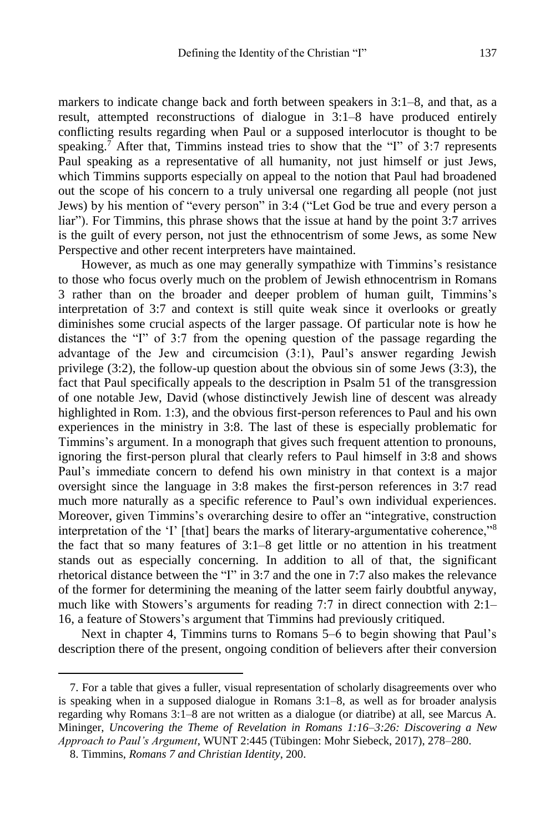markers to indicate change back and forth between speakers in 3:1–8, and that, as a result, attempted reconstructions of dialogue in 3:1–8 have produced entirely conflicting results regarding when Paul or a supposed interlocutor is thought to be speaking. <sup>7</sup> After that, Timmins instead tries to show that the "I" of 3:7 represents Paul speaking as a representative of all humanity, not just himself or just Jews, which Timmins supports especially on appeal to the notion that Paul had broadened out the scope of his concern to a truly universal one regarding all people (not just Jews) by his mention of "every person" in 3:4 ("Let God be true and every person a liar"). For Timmins, this phrase shows that the issue at hand by the point 3:7 arrives is the guilt of every person, not just the ethnocentrism of some Jews, as some New Perspective and other recent interpreters have maintained.

However, as much as one may generally sympathize with Timmins's resistance to those who focus overly much on the problem of Jewish ethnocentrism in Romans 3 rather than on the broader and deeper problem of human guilt, Timmins's interpretation of 3:7 and context is still quite weak since it overlooks or greatly diminishes some crucial aspects of the larger passage. Of particular note is how he distances the "I" of 3:7 from the opening question of the passage regarding the advantage of the Jew and circumcision (3:1), Paul's answer regarding Jewish privilege (3:2), the follow-up question about the obvious sin of some Jews (3:3), the fact that Paul specifically appeals to the description in Psalm 51 of the transgression of one notable Jew, David (whose distinctively Jewish line of descent was already highlighted in Rom. 1:3), and the obvious first-person references to Paul and his own experiences in the ministry in 3:8. The last of these is especially problematic for Timmins's argument. In a monograph that gives such frequent attention to pronouns, ignoring the first-person plural that clearly refers to Paul himself in 3:8 and shows Paul's immediate concern to defend his own ministry in that context is a major oversight since the language in 3:8 makes the first-person references in 3:7 read much more naturally as a specific reference to Paul's own individual experiences. Moreover, given Timmins's overarching desire to offer an "integrative, construction interpretation of the 'I' [that] bears the marks of literary-argumentative coherence,"<sup>8</sup> the fact that so many features of 3:1–8 get little or no attention in his treatment stands out as especially concerning. In addition to all of that, the significant rhetorical distance between the "I" in 3:7 and the one in 7:7 also makes the relevance of the former for determining the meaning of the latter seem fairly doubtful anyway, much like with Stowers's arguments for reading 7:7 in direct connection with 2:1– 16, a feature of Stowers's argument that Timmins had previously critiqued.

Next in chapter 4, Timmins turns to Romans 5–6 to begin showing that Paul's description there of the present, ongoing condition of believers after their conversion

<sup>7.</sup> For a table that gives a fuller, visual representation of scholarly disagreements over who is speaking when in a supposed dialogue in Romans 3:1–8, as well as for broader analysis regarding why Romans 3:1–8 are not written as a dialogue (or diatribe) at all, see Marcus A. Mininger, *Uncovering the Theme of Revelation in Romans 1:16–3:26: Discovering a New Approach to Paul's Argument*, WUNT 2:445 (Tübingen: Mohr Siebeck, 2017), 278–280.

<sup>8.</sup> Timmins, *Romans 7 and Christian Identity*, 200.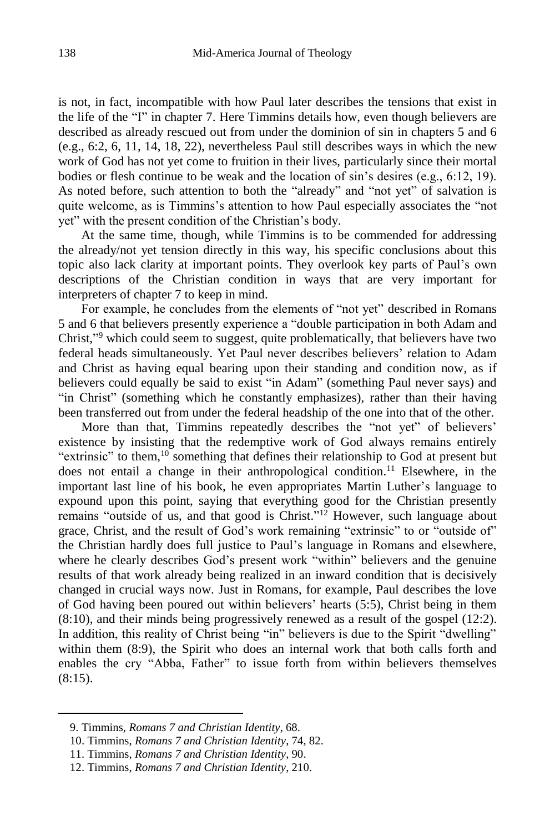is not, in fact, incompatible with how Paul later describes the tensions that exist in the life of the "I" in chapter 7. Here Timmins details how, even though believers are described as already rescued out from under the dominion of sin in chapters 5 and 6 (e.g., 6:2, 6, 11, 14, 18, 22), nevertheless Paul still describes ways in which the new work of God has not yet come to fruition in their lives, particularly since their mortal bodies or flesh continue to be weak and the location of sin's desires (e.g., 6:12, 19). As noted before, such attention to both the "already" and "not yet" of salvation is quite welcome, as is Timmins's attention to how Paul especially associates the "not yet" with the present condition of the Christian's body.

At the same time, though, while Timmins is to be commended for addressing the already/not yet tension directly in this way, his specific conclusions about this topic also lack clarity at important points. They overlook key parts of Paul's own descriptions of the Christian condition in ways that are very important for interpreters of chapter 7 to keep in mind.

For example, he concludes from the elements of "not yet" described in Romans 5 and 6 that believers presently experience a "double participation in both Adam and Christ,"<sup>9</sup> which could seem to suggest, quite problematically, that believers have two federal heads simultaneously. Yet Paul never describes believers' relation to Adam and Christ as having equal bearing upon their standing and condition now, as if believers could equally be said to exist "in Adam" (something Paul never says) and "in Christ" (something which he constantly emphasizes), rather than their having been transferred out from under the federal headship of the one into that of the other.

More than that, Timmins repeatedly describes the "not yet" of believers' existence by insisting that the redemptive work of God always remains entirely "extrinsic" to them,<sup>10</sup> something that defines their relationship to God at present but does not entail a change in their anthropological condition. <sup>11</sup> Elsewhere, in the important last line of his book, he even appropriates Martin Luther's language to expound upon this point, saying that everything good for the Christian presently remains "outside of us, and that good is Christ."<sup>12</sup> However, such language about grace, Christ, and the result of God's work remaining "extrinsic" to or "outside of" the Christian hardly does full justice to Paul's language in Romans and elsewhere, where he clearly describes God's present work "within" believers and the genuine results of that work already being realized in an inward condition that is decisively changed in crucial ways now. Just in Romans, for example, Paul describes the love of God having been poured out within believers' hearts (5:5), Christ being in them (8:10), and their minds being progressively renewed as a result of the gospel (12:2). In addition, this reality of Christ being "in" believers is due to the Spirit "dwelling" within them (8:9), the Spirit who does an internal work that both calls forth and enables the cry "Abba, Father" to issue forth from within believers themselves  $(8:15)$ .

<sup>9.</sup> Timmins, *Romans 7 and Christian Identity*, 68.

<sup>10.</sup> Timmins, *Romans 7 and Christian Identity*, 74, 82.

<sup>11.</sup> Timmins, *Romans 7 and Christian Identity*, 90.

<sup>12.</sup> Timmins, *Romans 7 and Christian Identity*, 210.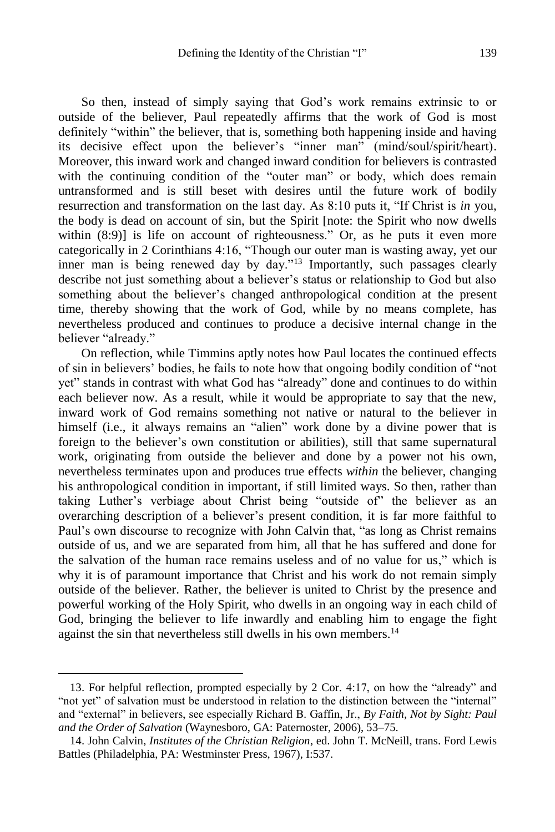So then, instead of simply saying that God's work remains extrinsic to or outside of the believer, Paul repeatedly affirms that the work of God is most definitely "within" the believer, that is, something both happening inside and having its decisive effect upon the believer's "inner man" (mind/soul/spirit/heart). Moreover, this inward work and changed inward condition for believers is contrasted with the continuing condition of the "outer man" or body, which does remain untransformed and is still beset with desires until the future work of bodily resurrection and transformation on the last day. As 8:10 puts it, "If Christ is *in* you, the body is dead on account of sin, but the Spirit [note: the Spirit who now dwells within  $(8:9)$ ] is life on account of righteousness." Or, as he puts it even more categorically in 2 Corinthians 4:16, "Though our outer man is wasting away, yet our inner man is being renewed day by day."<sup>13</sup> Importantly, such passages clearly describe not just something about a believer's status or relationship to God but also something about the believer's changed anthropological condition at the present time, thereby showing that the work of God, while by no means complete, has nevertheless produced and continues to produce a decisive internal change in the believer "already."

On reflection, while Timmins aptly notes how Paul locates the continued effects of sin in believers' bodies, he fails to note how that ongoing bodily condition of "not yet" stands in contrast with what God has "already" done and continues to do within each believer now. As a result, while it would be appropriate to say that the new, inward work of God remains something not native or natural to the believer in himself (i.e., it always remains an "alien" work done by a divine power that is foreign to the believer's own constitution or abilities), still that same supernatural work, originating from outside the believer and done by a power not his own, nevertheless terminates upon and produces true effects *within* the believer, changing his anthropological condition in important, if still limited ways. So then, rather than taking Luther's verbiage about Christ being "outside of" the believer as an overarching description of a believer's present condition, it is far more faithful to Paul's own discourse to recognize with John Calvin that, "as long as Christ remains outside of us, and we are separated from him, all that he has suffered and done for the salvation of the human race remains useless and of no value for us," which is why it is of paramount importance that Christ and his work do not remain simply outside of the believer. Rather, the believer is united to Christ by the presence and powerful working of the Holy Spirit, who dwells in an ongoing way in each child of God, bringing the believer to life inwardly and enabling him to engage the fight against the sin that nevertheless still dwells in his own members.<sup>14</sup>

<sup>13.</sup> For helpful reflection, prompted especially by 2 Cor. 4:17, on how the "already" and "not yet" of salvation must be understood in relation to the distinction between the "internal" and "external" in believers, see especially Richard B. Gaffin, Jr., *By Faith, Not by Sight: Paul and the Order of Salvation* (Waynesboro, GA: Paternoster, 2006), 53–75.

<sup>14.</sup> John Calvin, *Institutes of the Christian Religion*, ed. John T. McNeill, trans. Ford Lewis Battles (Philadelphia, PA: Westminster Press, 1967), I:537.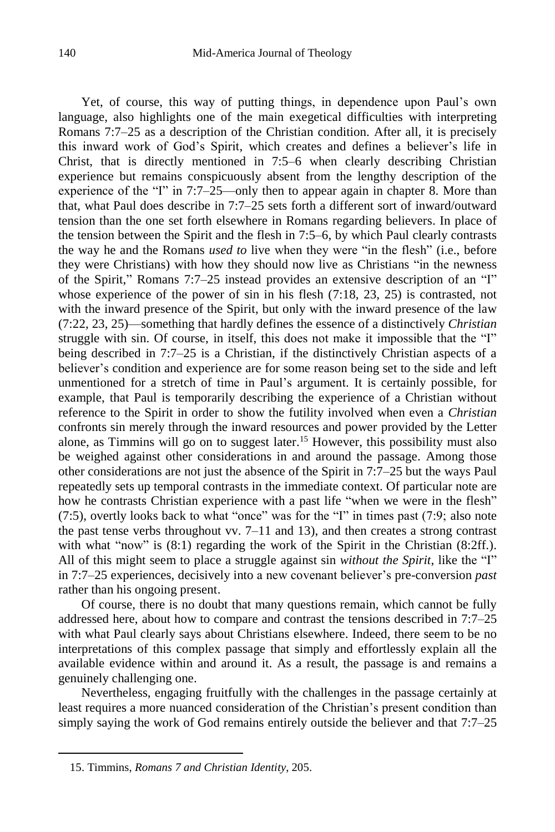Yet, of course, this way of putting things, in dependence upon Paul's own language, also highlights one of the main exegetical difficulties with interpreting Romans 7:7–25 as a description of the Christian condition. After all, it is precisely this inward work of God's Spirit, which creates and defines a believer's life in Christ, that is directly mentioned in 7:5–6 when clearly describing Christian experience but remains conspicuously absent from the lengthy description of the experience of the "I" in 7:7–25—only then to appear again in chapter 8. More than that, what Paul does describe in 7:7–25 sets forth a different sort of inward/outward tension than the one set forth elsewhere in Romans regarding believers. In place of the tension between the Spirit and the flesh in 7:5–6, by which Paul clearly contrasts the way he and the Romans *used to* live when they were "in the flesh" (i.e., before they were Christians) with how they should now live as Christians "in the newness of the Spirit," Romans 7:7–25 instead provides an extensive description of an "I" whose experience of the power of sin in his flesh (7:18, 23, 25) is contrasted, not with the inward presence of the Spirit, but only with the inward presence of the law (7:22, 23, 25)—something that hardly defines the essence of a distinctively *Christian* struggle with sin. Of course, in itself, this does not make it impossible that the "I" being described in 7:7–25 is a Christian, if the distinctively Christian aspects of a believer's condition and experience are for some reason being set to the side and left unmentioned for a stretch of time in Paul's argument. It is certainly possible, for example, that Paul is temporarily describing the experience of a Christian without reference to the Spirit in order to show the futility involved when even a *Christian* confronts sin merely through the inward resources and power provided by the Letter alone, as Timmins will go on to suggest later. <sup>15</sup> However, this possibility must also be weighed against other considerations in and around the passage. Among those other considerations are not just the absence of the Spirit in 7:7–25 but the ways Paul repeatedly sets up temporal contrasts in the immediate context. Of particular note are how he contrasts Christian experience with a past life "when we were in the flesh" (7:5), overtly looks back to what "once" was for the "I" in times past (7:9; also note the past tense verbs throughout vv. 7–11 and 13), and then creates a strong contrast with what "now" is  $(8:1)$  regarding the work of the Spirit in the Christian  $(8:2ff.)$ . All of this might seem to place a struggle against sin *without the Spirit*, like the "I" in 7:7–25 experiences, decisively into a new covenant believer's pre-conversion *past* rather than his ongoing present.

Of course, there is no doubt that many questions remain, which cannot be fully addressed here, about how to compare and contrast the tensions described in 7:7–25 with what Paul clearly says about Christians elsewhere. Indeed, there seem to be no interpretations of this complex passage that simply and effortlessly explain all the available evidence within and around it. As a result, the passage is and remains a genuinely challenging one.

Nevertheless, engaging fruitfully with the challenges in the passage certainly at least requires a more nuanced consideration of the Christian's present condition than simply saying the work of God remains entirely outside the believer and that 7:7–25

<sup>15.</sup> Timmins, *Romans 7 and Christian Identity*, 205.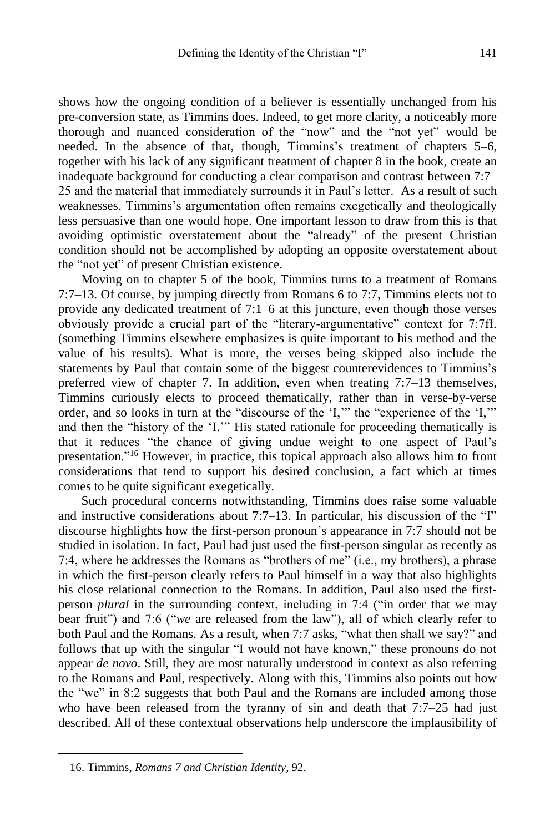shows how the ongoing condition of a believer is essentially unchanged from his pre-conversion state, as Timmins does. Indeed, to get more clarity, a noticeably more thorough and nuanced consideration of the "now" and the "not yet" would be needed. In the absence of that, though, Timmins's treatment of chapters 5–6, together with his lack of any significant treatment of chapter 8 in the book, create an inadequate background for conducting a clear comparison and contrast between 7:7– 25 and the material that immediately surrounds it in Paul's letter. As a result of such weaknesses, Timmins's argumentation often remains exegetically and theologically less persuasive than one would hope. One important lesson to draw from this is that avoiding optimistic overstatement about the "already" of the present Christian condition should not be accomplished by adopting an opposite overstatement about the "not yet" of present Christian existence.

Moving on to chapter 5 of the book, Timmins turns to a treatment of Romans 7:7–13. Of course, by jumping directly from Romans 6 to 7:7, Timmins elects not to provide any dedicated treatment of 7:1–6 at this juncture, even though those verses obviously provide a crucial part of the "literary-argumentative" context for 7:7ff. (something Timmins elsewhere emphasizes is quite important to his method and the value of his results). What is more, the verses being skipped also include the statements by Paul that contain some of the biggest counterevidences to Timmins's preferred view of chapter 7. In addition, even when treating 7:7–13 themselves, Timmins curiously elects to proceed thematically, rather than in verse-by-verse order, and so looks in turn at the "discourse of the 'I,'" the "experience of the 'I,'" and then the "history of the 'I.'" His stated rationale for proceeding thematically is that it reduces "the chance of giving undue weight to one aspect of Paul's presentation." <sup>16</sup> However, in practice, this topical approach also allows him to front considerations that tend to support his desired conclusion, a fact which at times comes to be quite significant exegetically.

Such procedural concerns notwithstanding, Timmins does raise some valuable and instructive considerations about 7:7–13. In particular, his discussion of the "I" discourse highlights how the first-person pronoun's appearance in 7:7 should not be studied in isolation. In fact, Paul had just used the first-person singular as recently as 7:4, where he addresses the Romans as "brothers of me" (i.e., my brothers), a phrase in which the first-person clearly refers to Paul himself in a way that also highlights his close relational connection to the Romans. In addition, Paul also used the firstperson *plural* in the surrounding context, including in 7:4 ("in order that *we* may bear fruit") and 7:6 ("*we* are released from the law"), all of which clearly refer to both Paul and the Romans. As a result, when 7:7 asks, "what then shall we say?" and follows that up with the singular "I would not have known," these pronouns do not appear *de novo*. Still, they are most naturally understood in context as also referring to the Romans and Paul, respectively. Along with this, Timmins also points out how the "we" in 8:2 suggests that both Paul and the Romans are included among those who have been released from the tyranny of sin and death that 7:7–25 had just described. All of these contextual observations help underscore the implausibility of

<sup>16.</sup> Timmins, *Romans 7 and Christian Identity*, 92.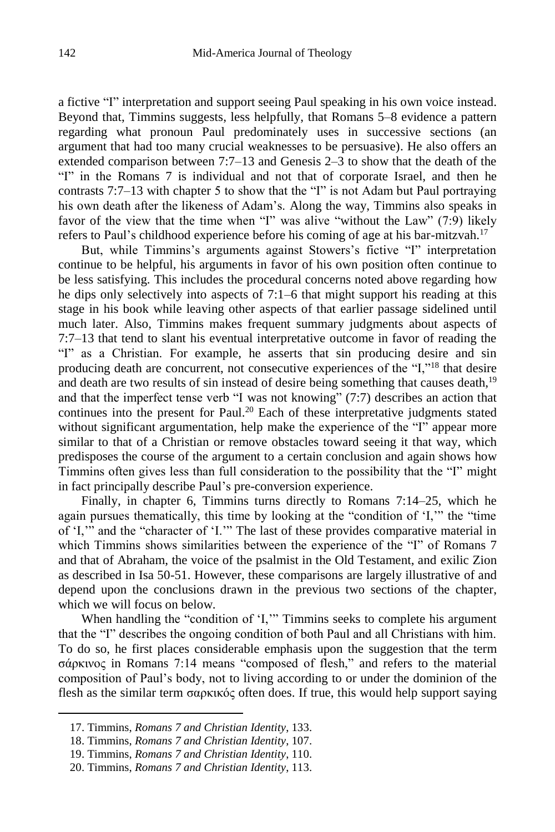a fictive "I" interpretation and support seeing Paul speaking in his own voice instead. Beyond that, Timmins suggests, less helpfully, that Romans 5–8 evidence a pattern regarding what pronoun Paul predominately uses in successive sections (an argument that had too many crucial weaknesses to be persuasive). He also offers an extended comparison between 7:7–13 and Genesis 2–3 to show that the death of the "I" in the Romans 7 is individual and not that of corporate Israel, and then he contrasts 7:7–13 with chapter 5 to show that the "I" is not Adam but Paul portraying his own death after the likeness of Adam's. Along the way, Timmins also speaks in favor of the view that the time when "I" was alive "without the Law" (7:9) likely refers to Paul's childhood experience before his coming of age at his bar-mitzvah.<sup>17</sup>

But, while Timmins's arguments against Stowers's fictive "I" interpretation continue to be helpful, his arguments in favor of his own position often continue to be less satisfying. This includes the procedural concerns noted above regarding how he dips only selectively into aspects of 7:1–6 that might support his reading at this stage in his book while leaving other aspects of that earlier passage sidelined until much later. Also, Timmins makes frequent summary judgments about aspects of 7:7–13 that tend to slant his eventual interpretative outcome in favor of reading the "I" as a Christian. For example, he asserts that sin producing desire and sin producing death are concurrent, not consecutive experiences of the "I,"<sup>18</sup> that desire and death are two results of sin instead of desire being something that causes death,<sup>19</sup> and that the imperfect tense verb "I was not knowing" (7:7) describes an action that continues into the present for Paul. <sup>20</sup> Each of these interpretative judgments stated without significant argumentation, help make the experience of the "I" appear more similar to that of a Christian or remove obstacles toward seeing it that way, which predisposes the course of the argument to a certain conclusion and again shows how Timmins often gives less than full consideration to the possibility that the "I" might in fact principally describe Paul's pre-conversion experience.

Finally, in chapter 6, Timmins turns directly to Romans 7:14–25, which he again pursues thematically, this time by looking at the "condition of 'I,'" the "time of 'I,'" and the "character of 'I.'" The last of these provides comparative material in which Timmins shows similarities between the experience of the "I" of Romans 7 and that of Abraham, the voice of the psalmist in the Old Testament, and exilic Zion as described in Isa 50-51. However, these comparisons are largely illustrative of and depend upon the conclusions drawn in the previous two sections of the chapter, which we will focus on below.

When handling the "condition of 'I,'" Timmins seeks to complete his argument that the "I" describes the ongoing condition of both Paul and all Christians with him. To do so, he first places considerable emphasis upon the suggestion that the term σάρκινος in Romans 7:14 means "composed of flesh," and refers to the material composition of Paul's body, not to living according to or under the dominion of the flesh as the similar term σαρκικός often does. If true, this would help support saying

<sup>17.</sup> Timmins, *Romans 7 and Christian Identity*, 133.

<sup>18.</sup> Timmins, *Romans 7 and Christian Identity*, 107.

<sup>19.</sup> Timmins, *Romans 7 and Christian Identity*, 110.

<sup>20.</sup> Timmins, *Romans 7 and Christian Identity*, 113.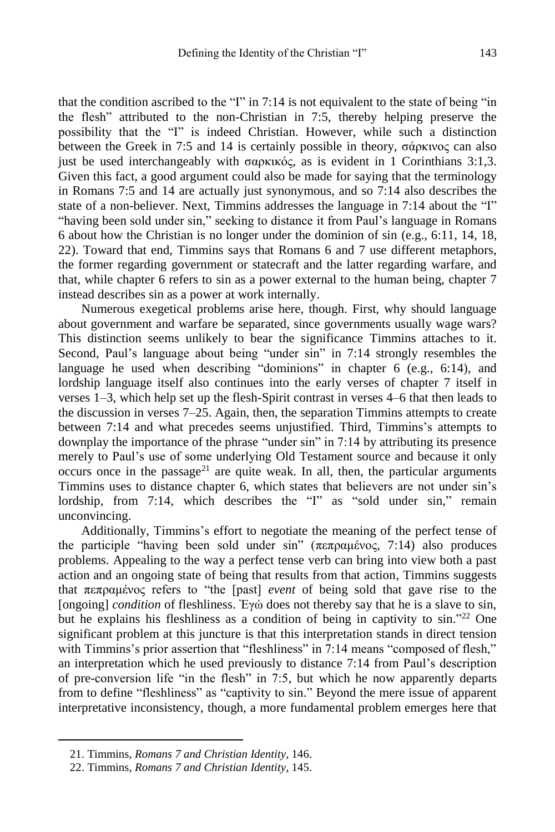that the condition ascribed to the "I" in 7:14 is not equivalent to the state of being "in the flesh" attributed to the non-Christian in 7:5, thereby helping preserve the possibility that the "I" is indeed Christian. However, while such a distinction between the Greek in 7:5 and 14 is certainly possible in theory, σάρκινος can also just be used interchangeably with σαρκικός, as is evident in 1 Corinthians 3:1,3. Given this fact, a good argument could also be made for saying that the terminology in Romans 7:5 and 14 are actually just synonymous, and so 7:14 also describes the state of a non-believer. Next, Timmins addresses the language in 7:14 about the "I" "having been sold under sin," seeking to distance it from Paul's language in Romans 6 about how the Christian is no longer under the dominion of sin (e.g., 6:11, 14, 18, 22). Toward that end, Timmins says that Romans 6 and 7 use different metaphors, the former regarding government or statecraft and the latter regarding warfare, and that, while chapter 6 refers to sin as a power external to the human being, chapter 7 instead describes sin as a power at work internally.

Numerous exegetical problems arise here, though. First, why should language about government and warfare be separated, since governments usually wage wars? This distinction seems unlikely to bear the significance Timmins attaches to it. Second, Paul's language about being "under sin" in 7:14 strongly resembles the language he used when describing "dominions" in chapter 6 (e.g., 6:14), and lordship language itself also continues into the early verses of chapter 7 itself in verses 1–3, which help set up the flesh-Spirit contrast in verses 4–6 that then leads to the discussion in verses 7–25. Again, then, the separation Timmins attempts to create between 7:14 and what precedes seems unjustified. Third, Timmins's attempts to downplay the importance of the phrase "under sin" in 7:14 by attributing its presence merely to Paul's use of some underlying Old Testament source and because it only occurs once in the passage<sup>21</sup> are quite weak. In all, then, the particular arguments Timmins uses to distance chapter 6, which states that believers are not under sin's lordship, from 7:14, which describes the "I" as "sold under sin," remain unconvincing.

Additionally, Timmins's effort to negotiate the meaning of the perfect tense of the participle "having been sold under sin" (πεπραμένος, 7:14) also produces problems. Appealing to the way a perfect tense verb can bring into view both a past action and an ongoing state of being that results from that action, Timmins suggests that πεπραμένος refers to "the [past] *event* of being sold that gave rise to the [ongoing] *condition* of fleshliness. Ἐγώ does not thereby say that he is a slave to sin, but he explains his fleshliness as a condition of being in captivity to sin." <sup>22</sup> One significant problem at this juncture is that this interpretation stands in direct tension with Timmins's prior assertion that "fleshliness" in 7:14 means "composed of flesh," an interpretation which he used previously to distance 7:14 from Paul's description of pre-conversion life "in the flesh" in 7:5, but which he now apparently departs from to define "fleshliness" as "captivity to sin." Beyond the mere issue of apparent interpretative inconsistency, though, a more fundamental problem emerges here that

<sup>21.</sup> Timmins, *Romans 7 and Christian Identity*, 146.

<sup>22.</sup> Timmins, *Romans 7 and Christian Identity*, 145.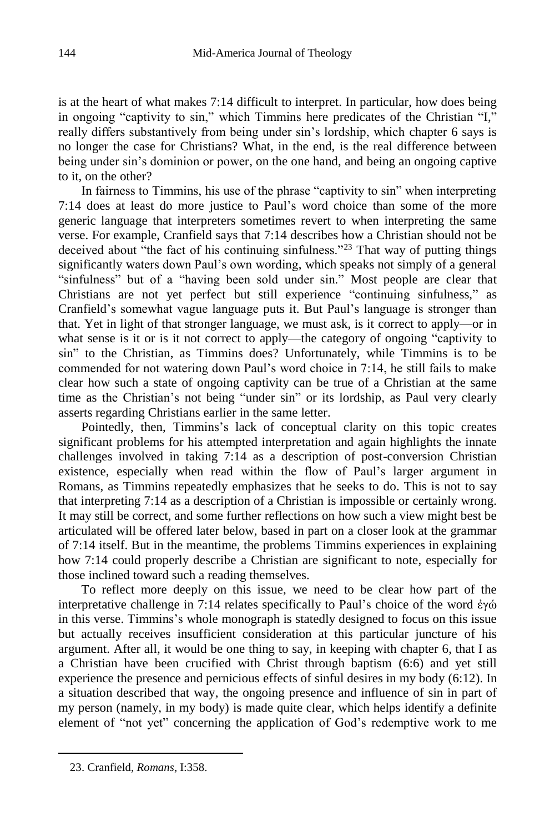is at the heart of what makes 7:14 difficult to interpret. In particular, how does being in ongoing "captivity to sin," which Timmins here predicates of the Christian "I," really differs substantively from being under sin's lordship, which chapter 6 says is no longer the case for Christians? What, in the end, is the real difference between being under sin's dominion or power, on the one hand, and being an ongoing captive to it, on the other?

In fairness to Timmins, his use of the phrase "captivity to sin" when interpreting 7:14 does at least do more justice to Paul's word choice than some of the more generic language that interpreters sometimes revert to when interpreting the same verse. For example, Cranfield says that 7:14 describes how a Christian should not be deceived about "the fact of his continuing sinfulness."<sup>23</sup> That way of putting things significantly waters down Paul's own wording, which speaks not simply of a general "sinfulness" but of a "having been sold under sin." Most people are clear that Christians are not yet perfect but still experience "continuing sinfulness," as Cranfield's somewhat vague language puts it. But Paul's language is stronger than that. Yet in light of that stronger language, we must ask, is it correct to apply—or in what sense is it or is it not correct to apply—the category of ongoing "captivity to sin" to the Christian, as Timmins does? Unfortunately, while Timmins is to be commended for not watering down Paul's word choice in 7:14, he still fails to make clear how such a state of ongoing captivity can be true of a Christian at the same time as the Christian's not being "under sin" or its lordship, as Paul very clearly asserts regarding Christians earlier in the same letter.

Pointedly, then, Timmins's lack of conceptual clarity on this topic creates significant problems for his attempted interpretation and again highlights the innate challenges involved in taking 7:14 as a description of post-conversion Christian existence, especially when read within the flow of Paul's larger argument in Romans, as Timmins repeatedly emphasizes that he seeks to do. This is not to say that interpreting 7:14 as a description of a Christian is impossible or certainly wrong. It may still be correct, and some further reflections on how such a view might best be articulated will be offered later below, based in part on a closer look at the grammar of 7:14 itself. But in the meantime, the problems Timmins experiences in explaining how 7:14 could properly describe a Christian are significant to note, especially for those inclined toward such a reading themselves.

To reflect more deeply on this issue, we need to be clear how part of the interpretative challenge in 7:14 relates specifically to Paul's choice of the word ἐγώ in this verse. Timmins's whole monograph is statedly designed to focus on this issue but actually receives insufficient consideration at this particular juncture of his argument. After all, it would be one thing to say, in keeping with chapter 6, that I as a Christian have been crucified with Christ through baptism (6:6) and yet still experience the presence and pernicious effects of sinful desires in my body (6:12). In a situation described that way, the ongoing presence and influence of sin in part of my person (namely, in my body) is made quite clear, which helps identify a definite element of "not yet" concerning the application of God's redemptive work to me

<sup>23.</sup> Cranfield, *Romans*, I:358.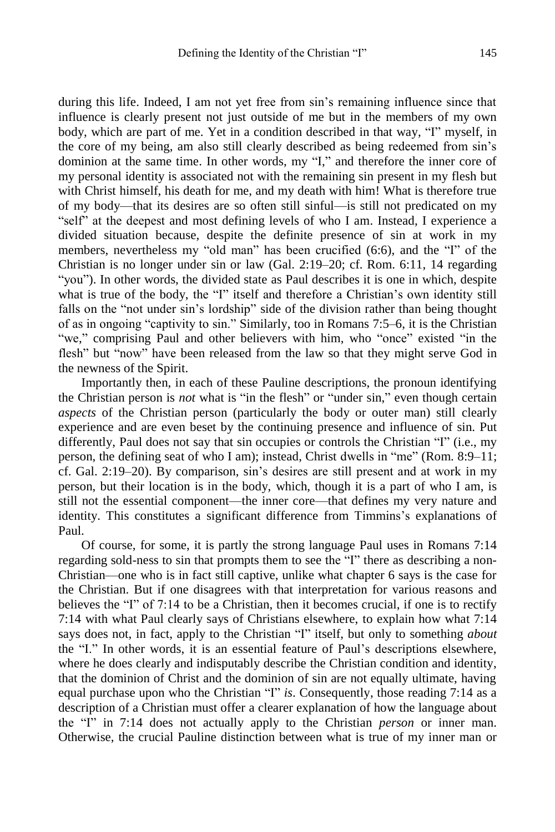during this life. Indeed, I am not yet free from sin's remaining influence since that influence is clearly present not just outside of me but in the members of my own body, which are part of me. Yet in a condition described in that way, "I" myself, in the core of my being, am also still clearly described as being redeemed from sin's dominion at the same time. In other words, my "I," and therefore the inner core of my personal identity is associated not with the remaining sin present in my flesh but with Christ himself, his death for me, and my death with him! What is therefore true of my body—that its desires are so often still sinful—is still not predicated on my "self" at the deepest and most defining levels of who I am. Instead, I experience a divided situation because, despite the definite presence of sin at work in my members, nevertheless my "old man" has been crucified (6:6), and the "I" of the Christian is no longer under sin or law (Gal. 2:19–20; cf. Rom. 6:11, 14 regarding "you"). In other words, the divided state as Paul describes it is one in which, despite what is true of the body, the "I" itself and therefore a Christian's own identity still falls on the "not under sin's lordship" side of the division rather than being thought of as in ongoing "captivity to sin." Similarly, too in Romans 7:5–6, it is the Christian "we," comprising Paul and other believers with him, who "once" existed "in the flesh" but "now" have been released from the law so that they might serve God in the newness of the Spirit.

Importantly then, in each of these Pauline descriptions, the pronoun identifying the Christian person is *not* what is "in the flesh" or "under sin," even though certain *aspects* of the Christian person (particularly the body or outer man) still clearly experience and are even beset by the continuing presence and influence of sin. Put differently, Paul does not say that sin occupies or controls the Christian "I" (i.e., my person, the defining seat of who I am); instead, Christ dwells in "me" (Rom. 8:9–11; cf. Gal. 2:19–20). By comparison, sin's desires are still present and at work in my person, but their location is in the body, which, though it is a part of who I am, is still not the essential component—the inner core—that defines my very nature and identity. This constitutes a significant difference from Timmins's explanations of Paul.

Of course, for some, it is partly the strong language Paul uses in Romans 7:14 regarding sold-ness to sin that prompts them to see the "I" there as describing a non-Christian—one who is in fact still captive, unlike what chapter 6 says is the case for the Christian. But if one disagrees with that interpretation for various reasons and believes the "I" of 7:14 to be a Christian, then it becomes crucial, if one is to rectify 7:14 with what Paul clearly says of Christians elsewhere, to explain how what 7:14 says does not, in fact, apply to the Christian "I" itself, but only to something *about* the "I." In other words, it is an essential feature of Paul's descriptions elsewhere, where he does clearly and indisputably describe the Christian condition and identity, that the dominion of Christ and the dominion of sin are not equally ultimate, having equal purchase upon who the Christian "I" *is*. Consequently, those reading 7:14 as a description of a Christian must offer a clearer explanation of how the language about the "I" in 7:14 does not actually apply to the Christian *person* or inner man. Otherwise, the crucial Pauline distinction between what is true of my inner man or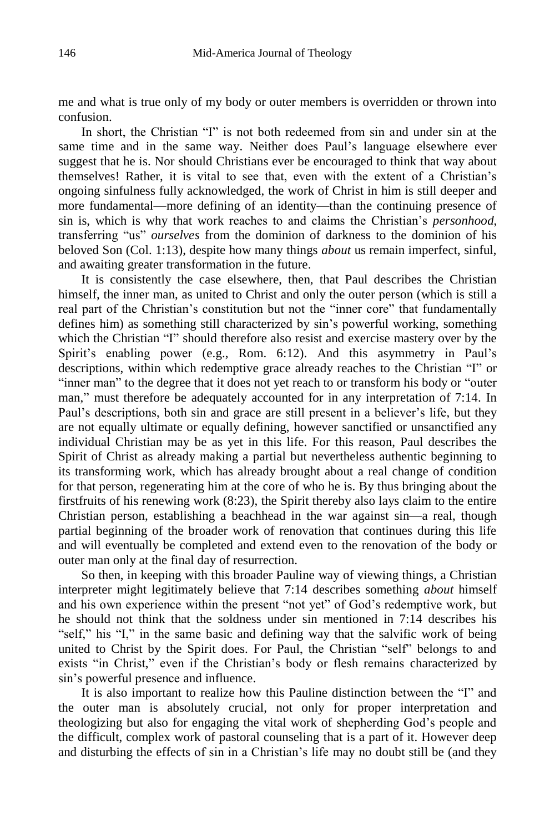me and what is true only of my body or outer members is overridden or thrown into confusion.

In short, the Christian "I" is not both redeemed from sin and under sin at the same time and in the same way. Neither does Paul's language elsewhere ever suggest that he is. Nor should Christians ever be encouraged to think that way about themselves! Rather, it is vital to see that, even with the extent of a Christian's ongoing sinfulness fully acknowledged, the work of Christ in him is still deeper and more fundamental—more defining of an identity—than the continuing presence of sin is, which is why that work reaches to and claims the Christian's *personhood*, transferring "us" *ourselves* from the dominion of darkness to the dominion of his beloved Son (Col. 1:13), despite how many things *about* us remain imperfect, sinful, and awaiting greater transformation in the future.

It is consistently the case elsewhere, then, that Paul describes the Christian himself, the inner man, as united to Christ and only the outer person (which is still a real part of the Christian's constitution but not the "inner core" that fundamentally defines him) as something still characterized by sin's powerful working, something which the Christian "I" should therefore also resist and exercise mastery over by the Spirit's enabling power (e.g., Rom. 6:12). And this asymmetry in Paul's descriptions, within which redemptive grace already reaches to the Christian "I" or "inner man" to the degree that it does not yet reach to or transform his body or "outer man," must therefore be adequately accounted for in any interpretation of 7:14. In Paul's descriptions, both sin and grace are still present in a believer's life, but they are not equally ultimate or equally defining, however sanctified or unsanctified any individual Christian may be as yet in this life. For this reason, Paul describes the Spirit of Christ as already making a partial but nevertheless authentic beginning to its transforming work, which has already brought about a real change of condition for that person, regenerating him at the core of who he is. By thus bringing about the firstfruits of his renewing work (8:23), the Spirit thereby also lays claim to the entire Christian person, establishing a beachhead in the war against sin—a real, though partial beginning of the broader work of renovation that continues during this life and will eventually be completed and extend even to the renovation of the body or outer man only at the final day of resurrection.

So then, in keeping with this broader Pauline way of viewing things, a Christian interpreter might legitimately believe that 7:14 describes something *about* himself and his own experience within the present "not yet" of God's redemptive work, but he should not think that the soldness under sin mentioned in 7:14 describes his "self," his "I," in the same basic and defining way that the salvific work of being united to Christ by the Spirit does. For Paul, the Christian "self" belongs to and exists "in Christ," even if the Christian's body or flesh remains characterized by sin's powerful presence and influence.

It is also important to realize how this Pauline distinction between the "I" and the outer man is absolutely crucial, not only for proper interpretation and theologizing but also for engaging the vital work of shepherding God's people and the difficult, complex work of pastoral counseling that is a part of it. However deep and disturbing the effects of sin in a Christian's life may no doubt still be (and they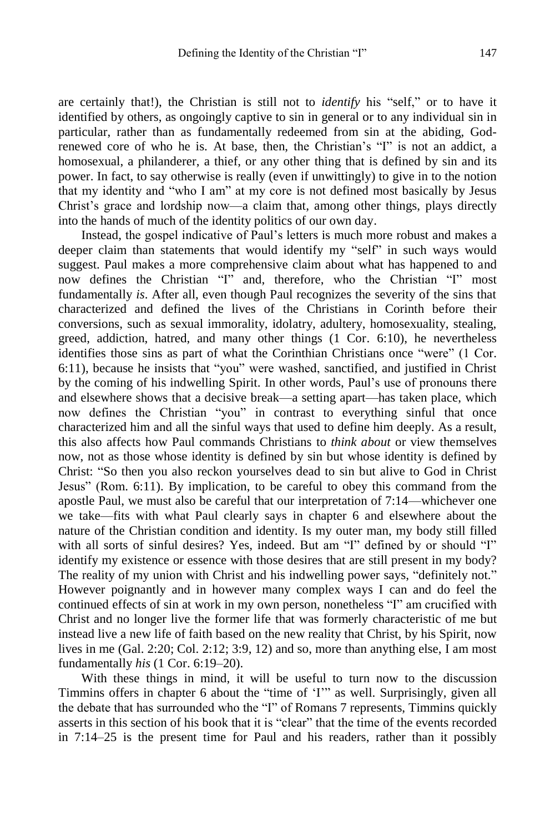are certainly that!), the Christian is still not to *identify* his "self," or to have it identified by others, as ongoingly captive to sin in general or to any individual sin in particular, rather than as fundamentally redeemed from sin at the abiding, Godrenewed core of who he is. At base, then, the Christian's "I" is not an addict, a homosexual, a philanderer, a thief, or any other thing that is defined by sin and its power. In fact, to say otherwise is really (even if unwittingly) to give in to the notion that my identity and "who I am" at my core is not defined most basically by Jesus Christ's grace and lordship now—a claim that, among other things, plays directly into the hands of much of the identity politics of our own day.

Instead, the gospel indicative of Paul's letters is much more robust and makes a deeper claim than statements that would identify my "self" in such ways would suggest. Paul makes a more comprehensive claim about what has happened to and now defines the Christian "I" and, therefore, who the Christian "I" most fundamentally *is*. After all, even though Paul recognizes the severity of the sins that characterized and defined the lives of the Christians in Corinth before their conversions, such as sexual immorality, idolatry, adultery, homosexuality, stealing, greed, addiction, hatred, and many other things (1 Cor. 6:10), he nevertheless identifies those sins as part of what the Corinthian Christians once "were" (1 Cor. 6:11), because he insists that "you" were washed, sanctified, and justified in Christ by the coming of his indwelling Spirit. In other words, Paul's use of pronouns there and elsewhere shows that a decisive break—a setting apart—has taken place, which now defines the Christian "you" in contrast to everything sinful that once characterized him and all the sinful ways that used to define him deeply. As a result, this also affects how Paul commands Christians to *think about* or view themselves now, not as those whose identity is defined by sin but whose identity is defined by Christ: "So then you also reckon yourselves dead to sin but alive to God in Christ Jesus" (Rom. 6:11). By implication, to be careful to obey this command from the apostle Paul, we must also be careful that our interpretation of 7:14—whichever one we take—fits with what Paul clearly says in chapter 6 and elsewhere about the nature of the Christian condition and identity. Is my outer man, my body still filled with all sorts of sinful desires? Yes, indeed. But am "I" defined by or should "I" identify my existence or essence with those desires that are still present in my body? The reality of my union with Christ and his indwelling power says, "definitely not." However poignantly and in however many complex ways I can and do feel the continued effects of sin at work in my own person, nonetheless "I" am crucified with Christ and no longer live the former life that was formerly characteristic of me but instead live a new life of faith based on the new reality that Christ, by his Spirit, now lives in me (Gal. 2:20; Col. 2:12; 3:9, 12) and so, more than anything else, I am most fundamentally *his* (1 Cor. 6:19–20).

With these things in mind, it will be useful to turn now to the discussion Timmins offers in chapter 6 about the "time of 'I'" as well. Surprisingly, given all the debate that has surrounded who the "I" of Romans 7 represents, Timmins quickly asserts in this section of his book that it is "clear" that the time of the events recorded in 7:14–25 is the present time for Paul and his readers, rather than it possibly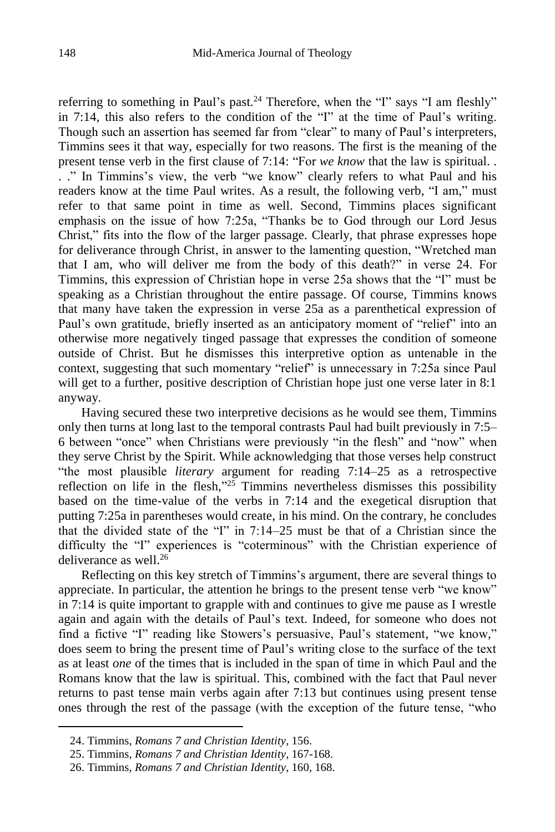referring to something in Paul's past.<sup>24</sup> Therefore, when the "I" says "I am fleshly" in 7:14, this also refers to the condition of the "I" at the time of Paul's writing. Though such an assertion has seemed far from "clear" to many of Paul's interpreters, Timmins sees it that way, especially for two reasons. The first is the meaning of the present tense verb in the first clause of 7:14: "For *we know* that the law is spiritual. . . ." In Timmins's view, the verb "we know" clearly refers to what Paul and his readers know at the time Paul writes. As a result, the following verb, "I am," must refer to that same point in time as well. Second, Timmins places significant emphasis on the issue of how 7:25a, "Thanks be to God through our Lord Jesus Christ," fits into the flow of the larger passage. Clearly, that phrase expresses hope for deliverance through Christ, in answer to the lamenting question, "Wretched man that I am, who will deliver me from the body of this death?" in verse 24. For Timmins, this expression of Christian hope in verse 25a shows that the "I" must be speaking as a Christian throughout the entire passage. Of course, Timmins knows that many have taken the expression in verse 25a as a parenthetical expression of Paul's own gratitude, briefly inserted as an anticipatory moment of "relief" into an otherwise more negatively tinged passage that expresses the condition of someone outside of Christ. But he dismisses this interpretive option as untenable in the context, suggesting that such momentary "relief" is unnecessary in 7:25a since Paul will get to a further, positive description of Christian hope just one verse later in 8:1 anyway.

Having secured these two interpretive decisions as he would see them, Timmins only then turns at long last to the temporal contrasts Paul had built previously in 7:5– 6 between "once" when Christians were previously "in the flesh" and "now" when they serve Christ by the Spirit. While acknowledging that those verses help construct "the most plausible *literary* argument for reading 7:14–25 as a retrospective reflection on life in the flesh," $25$  Timmins nevertheless dismisses this possibility based on the time-value of the verbs in 7:14 and the exegetical disruption that putting 7:25a in parentheses would create, in his mind. On the contrary, he concludes that the divided state of the "I" in  $7:14-25$  must be that of a Christian since the difficulty the "I" experiences is "coterminous" with the Christian experience of deliverance as well. 26

Reflecting on this key stretch of Timmins's argument, there are several things to appreciate. In particular, the attention he brings to the present tense verb "we know" in 7:14 is quite important to grapple with and continues to give me pause as I wrestle again and again with the details of Paul's text. Indeed, for someone who does not find a fictive "I" reading like Stowers's persuasive, Paul's statement, "we know," does seem to bring the present time of Paul's writing close to the surface of the text as at least *one* of the times that is included in the span of time in which Paul and the Romans know that the law is spiritual. This, combined with the fact that Paul never returns to past tense main verbs again after 7:13 but continues using present tense ones through the rest of the passage (with the exception of the future tense, "who

<sup>24.</sup> Timmins, *Romans 7 and Christian Identity*, 156.

<sup>25.</sup> Timmins, *Romans 7 and Christian Identity*, 167-168.

<sup>26.</sup> Timmins, *Romans 7 and Christian Identity*, 160, 168.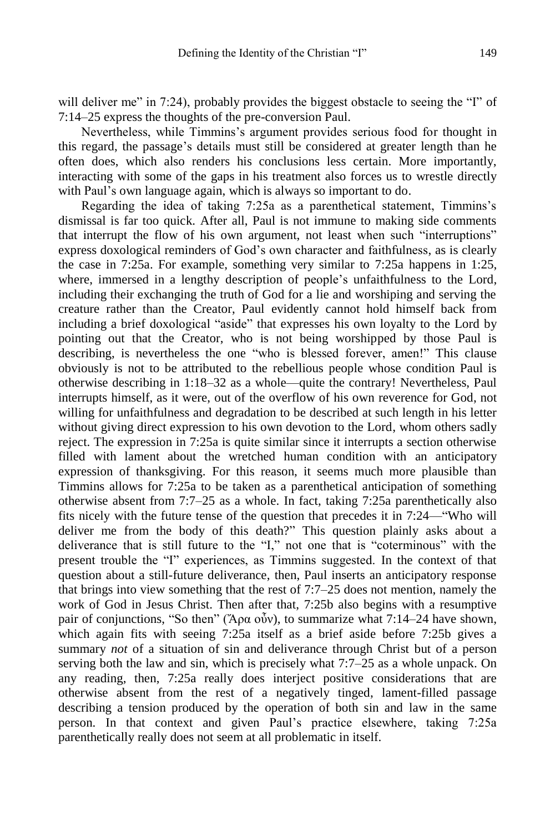will deliver me" in 7:24), probably provides the biggest obstacle to seeing the "I" of 7:14–25 express the thoughts of the pre-conversion Paul.

Nevertheless, while Timmins's argument provides serious food for thought in this regard, the passage's details must still be considered at greater length than he often does, which also renders his conclusions less certain. More importantly, interacting with some of the gaps in his treatment also forces us to wrestle directly with Paul's own language again, which is always so important to do.

Regarding the idea of taking 7:25a as a parenthetical statement, Timmins's dismissal is far too quick. After all, Paul is not immune to making side comments that interrupt the flow of his own argument, not least when such "interruptions" express doxological reminders of God's own character and faithfulness, as is clearly the case in 7:25a. For example, something very similar to 7:25a happens in 1:25, where, immersed in a lengthy description of people's unfaithfulness to the Lord, including their exchanging the truth of God for a lie and worshiping and serving the creature rather than the Creator, Paul evidently cannot hold himself back from including a brief doxological "aside" that expresses his own loyalty to the Lord by pointing out that the Creator, who is not being worshipped by those Paul is describing, is nevertheless the one "who is blessed forever, amen!" This clause obviously is not to be attributed to the rebellious people whose condition Paul is otherwise describing in 1:18–32 as a whole—quite the contrary! Nevertheless, Paul interrupts himself, as it were, out of the overflow of his own reverence for God, not willing for unfaithfulness and degradation to be described at such length in his letter without giving direct expression to his own devotion to the Lord, whom others sadly reject. The expression in 7:25a is quite similar since it interrupts a section otherwise filled with lament about the wretched human condition with an anticipatory expression of thanksgiving. For this reason, it seems much more plausible than Timmins allows for 7:25a to be taken as a parenthetical anticipation of something otherwise absent from 7:7–25 as a whole. In fact, taking 7:25a parenthetically also fits nicely with the future tense of the question that precedes it in 7:24—"Who will deliver me from the body of this death?" This question plainly asks about a deliverance that is still future to the "I," not one that is "coterminous" with the present trouble the "I" experiences, as Timmins suggested. In the context of that question about a still-future deliverance, then, Paul inserts an anticipatory response that brings into view something that the rest of 7:7–25 does not mention, namely the work of God in Jesus Christ. Then after that, 7:25b also begins with a resumptive pair of conjunctions, "So then" ("Άρα οὖν), to summarize what  $7:14-24$  have shown, which again fits with seeing 7:25a itself as a brief aside before 7:25b gives a summary *not* of a situation of sin and deliverance through Christ but of a person serving both the law and sin, which is precisely what 7:7–25 as a whole unpack. On any reading, then, 7:25a really does interject positive considerations that are otherwise absent from the rest of a negatively tinged, lament-filled passage describing a tension produced by the operation of both sin and law in the same person. In that context and given Paul's practice elsewhere, taking 7:25a parenthetically really does not seem at all problematic in itself.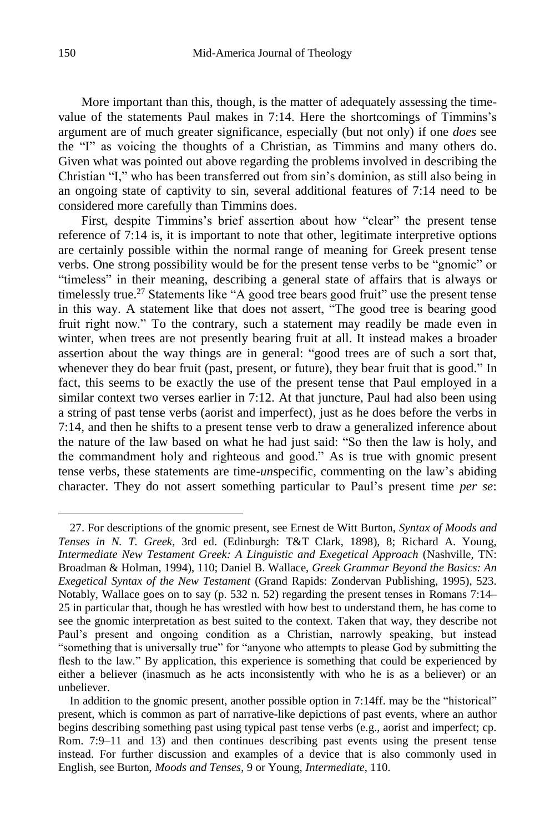More important than this, though, is the matter of adequately assessing the timevalue of the statements Paul makes in 7:14. Here the shortcomings of Timmins's argument are of much greater significance, especially (but not only) if one *does* see the "I" as voicing the thoughts of a Christian, as Timmins and many others do. Given what was pointed out above regarding the problems involved in describing the Christian "I," who has been transferred out from sin's dominion, as still also being in an ongoing state of captivity to sin, several additional features of 7:14 need to be considered more carefully than Timmins does.

First, despite Timmins's brief assertion about how "clear" the present tense reference of 7:14 is, it is important to note that other, legitimate interpretive options are certainly possible within the normal range of meaning for Greek present tense verbs. One strong possibility would be for the present tense verbs to be "gnomic" or "timeless" in their meaning, describing a general state of affairs that is always or timelessly true.<sup>27</sup> Statements like "A good tree bears good fruit" use the present tense in this way. A statement like that does not assert, "The good tree is bearing good fruit right now." To the contrary, such a statement may readily be made even in winter, when trees are not presently bearing fruit at all. It instead makes a broader assertion about the way things are in general: "good trees are of such a sort that, whenever they do bear fruit (past, present, or future), they bear fruit that is good." In fact, this seems to be exactly the use of the present tense that Paul employed in a similar context two verses earlier in 7:12. At that juncture, Paul had also been using a string of past tense verbs (aorist and imperfect), just as he does before the verbs in 7:14, and then he shifts to a present tense verb to draw a generalized inference about the nature of the law based on what he had just said: "So then the law is holy, and the commandment holy and righteous and good." As is true with gnomic present tense verbs, these statements are time-*un*specific, commenting on the law's abiding character. They do not assert something particular to Paul's present time *per se*:

<sup>27.</sup> For descriptions of the gnomic present, see Ernest de Witt Burton, *Syntax of Moods and Tenses in N. T. Greek*, 3rd ed. (Edinburgh: T&T Clark, 1898), 8; Richard A. Young, *Intermediate New Testament Greek: A Linguistic and Exegetical Approach* (Nashville, TN: Broadman & Holman, 1994), 110; Daniel B. Wallace, *Greek Grammar Beyond the Basics: An Exegetical Syntax of the New Testament* (Grand Rapids: Zondervan Publishing, 1995), 523. Notably, Wallace goes on to say (p. 532 n. 52) regarding the present tenses in Romans 7:14– 25 in particular that, though he has wrestled with how best to understand them, he has come to see the gnomic interpretation as best suited to the context. Taken that way, they describe not Paul's present and ongoing condition as a Christian, narrowly speaking, but instead "something that is universally true" for "anyone who attempts to please God by submitting the flesh to the law." By application, this experience is something that could be experienced by either a believer (inasmuch as he acts inconsistently with who he is as a believer) or an unbeliever.

In addition to the gnomic present, another possible option in 7:14ff. may be the "historical" present, which is common as part of narrative-like depictions of past events, where an author begins describing something past using typical past tense verbs (e.g., aorist and imperfect; cp. Rom. 7:9–11 and 13) and then continues describing past events using the present tense instead. For further discussion and examples of a device that is also commonly used in English, see Burton, *Moods and Tenses*, 9 or Young, *Intermediate*, 110.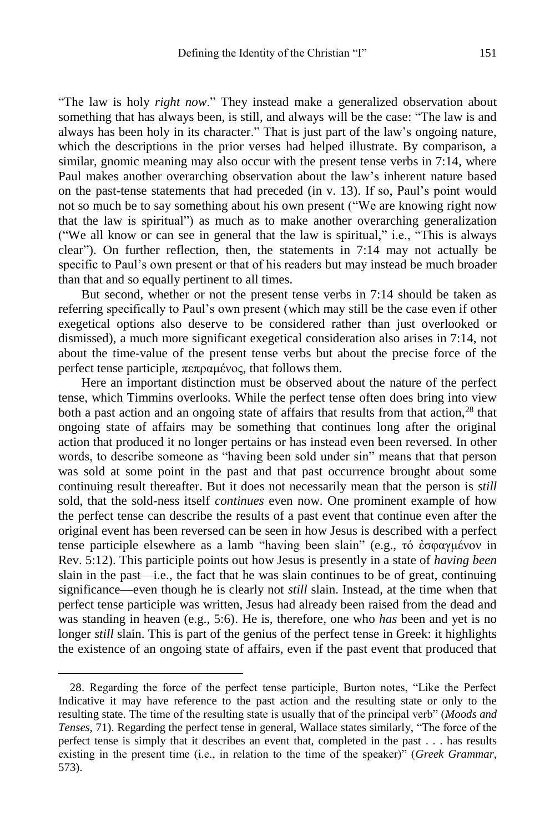"The law is holy *right now*." They instead make a generalized observation about something that has always been, is still, and always will be the case: "The law is and always has been holy in its character." That is just part of the law's ongoing nature, which the descriptions in the prior verses had helped illustrate. By comparison, a similar, gnomic meaning may also occur with the present tense verbs in 7:14, where Paul makes another overarching observation about the law's inherent nature based on the past-tense statements that had preceded (in v. 13). If so, Paul's point would not so much be to say something about his own present ("We are knowing right now that the law is spiritual") as much as to make another overarching generalization ("We all know or can see in general that the law is spiritual," i.e., "This is always clear"). On further reflection, then, the statements in 7:14 may not actually be specific to Paul's own present or that of his readers but may instead be much broader than that and so equally pertinent to all times.

But second, whether or not the present tense verbs in 7:14 should be taken as referring specifically to Paul's own present (which may still be the case even if other exegetical options also deserve to be considered rather than just overlooked or dismissed), a much more significant exegetical consideration also arises in 7:14, not about the time-value of the present tense verbs but about the precise force of the perfect tense participle, πεπραμένος, that follows them.

Here an important distinction must be observed about the nature of the perfect tense, which Timmins overlooks. While the perfect tense often does bring into view both a past action and an ongoing state of affairs that results from that action,<sup>28</sup> that ongoing state of affairs may be something that continues long after the original action that produced it no longer pertains or has instead even been reversed. In other words, to describe someone as "having been sold under sin" means that that person was sold at some point in the past and that past occurrence brought about some continuing result thereafter. But it does not necessarily mean that the person is *still* sold, that the sold-ness itself *continues* even now. One prominent example of how the perfect tense can describe the results of a past event that continue even after the original event has been reversed can be seen in how Jesus is described with a perfect tense participle elsewhere as a lamb "having been slain" (e.g., τό ἐσφαγμένον in Rev. 5:12). This participle points out how Jesus is presently in a state of *having been* slain in the past—i.e., the fact that he was slain continues to be of great, continuing significance—even though he is clearly not *still* slain. Instead, at the time when that perfect tense participle was written, Jesus had already been raised from the dead and was standing in heaven (e.g., 5:6). He is, therefore, one who *has* been and yet is no longer *still* slain. This is part of the genius of the perfect tense in Greek: it highlights the existence of an ongoing state of affairs, even if the past event that produced that

<sup>28.</sup> Regarding the force of the perfect tense participle, Burton notes, "Like the Perfect Indicative it may have reference to the past action and the resulting state or only to the resulting state. The time of the resulting state is usually that of the principal verb" (*Moods and Tenses*, 71). Regarding the perfect tense in general, Wallace states similarly, "The force of the perfect tense is simply that it describes an event that, completed in the past . . . has results existing in the present time (i.e., in relation to the time of the speaker)" (*Greek Grammar*, 573).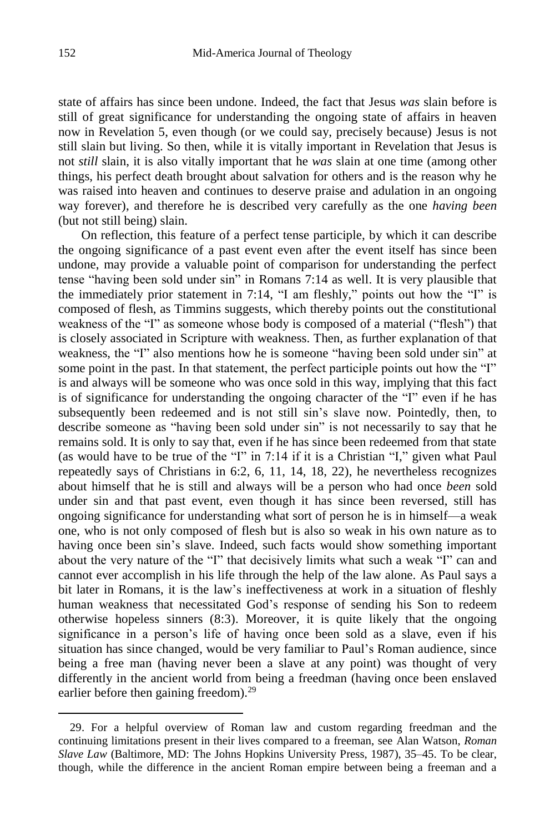state of affairs has since been undone. Indeed, the fact that Jesus *was* slain before is still of great significance for understanding the ongoing state of affairs in heaven now in Revelation 5, even though (or we could say, precisely because) Jesus is not still slain but living. So then, while it is vitally important in Revelation that Jesus is not *still* slain, it is also vitally important that he *was* slain at one time (among other things, his perfect death brought about salvation for others and is the reason why he was raised into heaven and continues to deserve praise and adulation in an ongoing way forever), and therefore he is described very carefully as the one *having been* (but not still being) slain.

On reflection, this feature of a perfect tense participle, by which it can describe the ongoing significance of a past event even after the event itself has since been undone, may provide a valuable point of comparison for understanding the perfect tense "having been sold under sin" in Romans 7:14 as well. It is very plausible that the immediately prior statement in 7:14, "I am fleshly," points out how the "I" is composed of flesh, as Timmins suggests, which thereby points out the constitutional weakness of the "I" as someone whose body is composed of a material ("flesh") that is closely associated in Scripture with weakness. Then, as further explanation of that weakness, the "I" also mentions how he is someone "having been sold under sin" at some point in the past. In that statement, the perfect participle points out how the "I" is and always will be someone who was once sold in this way, implying that this fact is of significance for understanding the ongoing character of the "I" even if he has subsequently been redeemed and is not still sin's slave now. Pointedly, then, to describe someone as "having been sold under sin" is not necessarily to say that he remains sold. It is only to say that, even if he has since been redeemed from that state (as would have to be true of the "I" in 7:14 if it is a Christian "I," given what Paul repeatedly says of Christians in 6:2, 6, 11, 14, 18, 22), he nevertheless recognizes about himself that he is still and always will be a person who had once *been* sold under sin and that past event, even though it has since been reversed, still has ongoing significance for understanding what sort of person he is in himself—a weak one, who is not only composed of flesh but is also so weak in his own nature as to having once been sin's slave. Indeed, such facts would show something important about the very nature of the "I" that decisively limits what such a weak "I" can and cannot ever accomplish in his life through the help of the law alone. As Paul says a bit later in Romans, it is the law's ineffectiveness at work in a situation of fleshly human weakness that necessitated God's response of sending his Son to redeem otherwise hopeless sinners (8:3). Moreover, it is quite likely that the ongoing significance in a person's life of having once been sold as a slave, even if his situation has since changed, would be very familiar to Paul's Roman audience, since being a free man (having never been a slave at any point) was thought of very differently in the ancient world from being a freedman (having once been enslaved earlier before then gaining freedom).<sup>29</sup>

<sup>29.</sup> For a helpful overview of Roman law and custom regarding freedman and the continuing limitations present in their lives compared to a freeman, see Alan Watson, *Roman Slave Law* (Baltimore, MD: The Johns Hopkins University Press, 1987), 35–45. To be clear, though, while the difference in the ancient Roman empire between being a freeman and a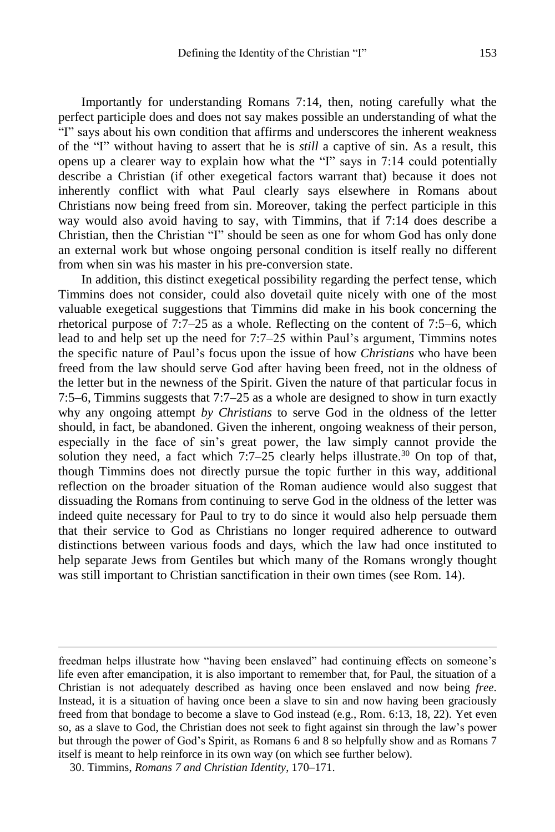Importantly for understanding Romans 7:14, then, noting carefully what the perfect participle does and does not say makes possible an understanding of what the "I" says about his own condition that affirms and underscores the inherent weakness of the "I" without having to assert that he is *still* a captive of sin. As a result, this opens up a clearer way to explain how what the "I" says in 7:14 could potentially describe a Christian (if other exegetical factors warrant that) because it does not inherently conflict with what Paul clearly says elsewhere in Romans about Christians now being freed from sin. Moreover, taking the perfect participle in this way would also avoid having to say, with Timmins, that if 7:14 does describe a Christian, then the Christian "I" should be seen as one for whom God has only done an external work but whose ongoing personal condition is itself really no different from when sin was his master in his pre-conversion state.

In addition, this distinct exegetical possibility regarding the perfect tense, which Timmins does not consider, could also dovetail quite nicely with one of the most valuable exegetical suggestions that Timmins did make in his book concerning the rhetorical purpose of 7:7–25 as a whole. Reflecting on the content of 7:5–6, which lead to and help set up the need for 7:7–25 within Paul's argument, Timmins notes the specific nature of Paul's focus upon the issue of how *Christians* who have been freed from the law should serve God after having been freed, not in the oldness of the letter but in the newness of the Spirit. Given the nature of that particular focus in 7:5–6, Timmins suggests that 7:7–25 as a whole are designed to show in turn exactly why any ongoing attempt *by Christians* to serve God in the oldness of the letter should, in fact, be abandoned. Given the inherent, ongoing weakness of their person, especially in the face of sin's great power, the law simply cannot provide the solution they need, a fact which  $7:7-25$  clearly helps illustrate.<sup>30</sup> On top of that, though Timmins does not directly pursue the topic further in this way, additional reflection on the broader situation of the Roman audience would also suggest that dissuading the Romans from continuing to serve God in the oldness of the letter was indeed quite necessary for Paul to try to do since it would also help persuade them that their service to God as Christians no longer required adherence to outward distinctions between various foods and days, which the law had once instituted to help separate Jews from Gentiles but which many of the Romans wrongly thought was still important to Christian sanctification in their own times (see Rom. 14).

freedman helps illustrate how "having been enslaved" had continuing effects on someone's life even after emancipation, it is also important to remember that, for Paul, the situation of a Christian is not adequately described as having once been enslaved and now being *free*. Instead, it is a situation of having once been a slave to sin and now having been graciously freed from that bondage to become a slave to God instead (e.g., Rom. 6:13, 18, 22). Yet even so, as a slave to God, the Christian does not seek to fight against sin through the law's power but through the power of God's Spirit, as Romans 6 and 8 so helpfully show and as Romans 7 itself is meant to help reinforce in its own way (on which see further below).

<sup>30.</sup> Timmins, *Romans 7 and Christian Identity*, 170–171.